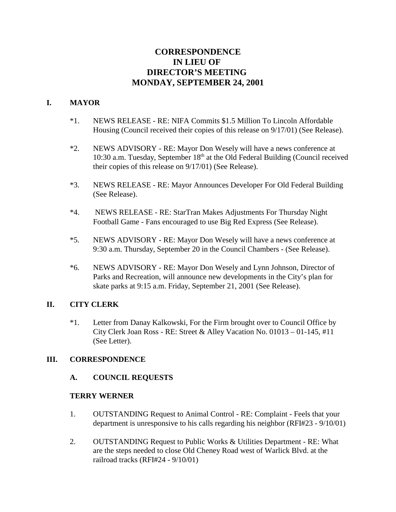# **CORRESPONDENCE IN LIEU OF DIRECTOR'S MEETING MONDAY, SEPTEMBER 24, 2001**

### **I. MAYOR**

- \*1. NEWS RELEASE RE: NIFA Commits \$1.5 Million To Lincoln Affordable Housing (Council received their copies of this release on 9/17/01) (See Release).
- \*2. NEWS ADVISORY RE: Mayor Don Wesely will have a news conference at 10:30 a.m. Tuesday, September 18<sup>th</sup> at the Old Federal Building (Council received their copies of this release on 9/17/01) (See Release).
- \*3. NEWS RELEASE RE: Mayor Announces Developer For Old Federal Building (See Release).
- \*4. NEWS RELEASE RE: StarTran Makes Adjustments For Thursday Night Football Game - Fans encouraged to use Big Red Express (See Release).
- \*5. NEWS ADVISORY RE: Mayor Don Wesely will have a news conference at 9:30 a.m. Thursday, September 20 in the Council Chambers - (See Release).
- \*6. NEWS ADVISORY RE: Mayor Don Wesely and Lynn Johnson, Director of Parks and Recreation, will announce new developments in the City's plan for skate parks at 9:15 a.m. Friday, September 21, 2001 (See Release).

### **II. CITY CLERK**

\*1. Letter from Danay Kalkowski, For the Firm brought over to Council Office by City Clerk Joan Ross - RE: Street & Alley Vacation No. 01013 – 01-145, #11 (See Letter).

### **III. CORRESPONDENCE**

### **A. COUNCIL REQUESTS**

### **TERRY WERNER**

- 1. OUTSTANDING Request to Animal Control RE: Complaint Feels that your department is unresponsive to his calls regarding his neighbor (RFI#23 - 9/10/01)
- 2. OUTSTANDING Request to Public Works & Utilities Department RE: What are the steps needed to close Old Cheney Road west of Warlick Blvd. at the railroad tracks (RFI#24 - 9/10/01)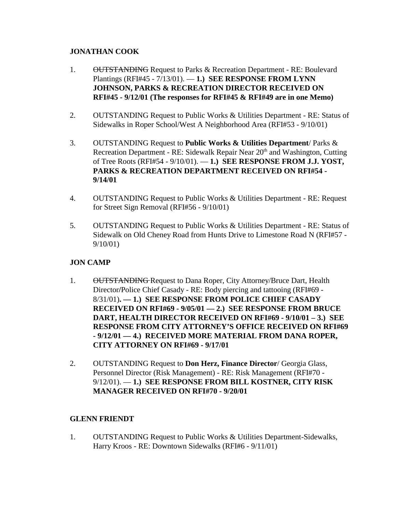### **JONATHAN COOK**

- 1. OUTSTANDING Request to Parks & Recreation Department RE: Boulevard Plantings (RFI#45 - 7/13/01). — **1.) SEE RESPONSE FROM LYNN JOHNSON, PARKS & RECREATION DIRECTOR RECEIVED ON RFI#45 - 9/12/01 (The responses for RFI#45 & RFI#49 are in one Memo)**
- 2. OUTSTANDING Request to Public Works & Utilities Department RE: Status of Sidewalks in Roper School/West A Neighborhood Area (RFI#53 - 9/10/01)
- 3. OUTSTANDING Request to **Public Works & Utilities Department**/ Parks & Recreation Department - RE: Sidewalk Repair Near 20<sup>th</sup> and Washington, Cutting of Tree Roots (RFI#54 - 9/10/01). — **1.) SEE RESPONSE FROM J.J. YOST, PARKS & RECREATION DEPARTMENT RECEIVED ON RFI#54 - 9/14/01**
- 4. OUTSTANDING Request to Public Works & Utilities Department RE: Request for Street Sign Removal (RFI#56 - 9/10/01)
- 5. OUTSTANDING Request to Public Works & Utilities Department RE: Status of Sidewalk on Old Cheney Road from Hunts Drive to Limestone Road N (RFI#57 - 9/10/01)

# **JON CAMP**

- 1. OUTSTANDING Request to Dana Roper, City Attorney/Bruce Dart, Health Director**/**Police Chief Casady - RE: Body piercing and tattooing (RFI#69 - 8/31/01)**. — 1.) SEE RESPONSE FROM POLICE CHIEF CASADY RECEIVED ON RFI#69 - 9/05/01 — 2.) SEE RESPONSE FROM BRUCE DART, HEALTH DIRECTOR RECEIVED ON RFI#69 - 9/10/01 – 3.) SEE RESPONSE FROM CITY ATTORNEY'S OFFICE RECEIVED ON RFI#69 - 9/12/01 — 4.) RECEIVED MORE MATERIAL FROM DANA ROPER, CITY ATTORNEY ON RFI#69 - 9/17/01**
- 2. OUTSTANDING Request to **Don Herz, Finance Director**/ Georgia Glass, Personnel Director (Risk Management) - RE: Risk Management (RFI#70 - 9/12/01). — **1.) SEE RESPONSE FROM BILL KOSTNER, CITY RISK MANAGER RECEIVED ON RFI#70 - 9/20/01**

### **GLENN FRIENDT**

1. OUTSTANDING Request to Public Works & Utilities Department-Sidewalks, Harry Kroos - RE: Downtown Sidewalks (RFI#6 - 9/11/01)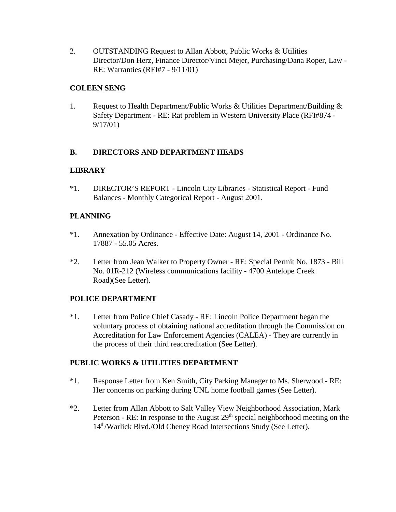2. OUTSTANDING Request to Allan Abbott, Public Works & Utilities Director/Don Herz, Finance Director/Vinci Mejer, Purchasing/Dana Roper, Law - RE: Warranties (RFI#7 - 9/11/01)

### **COLEEN SENG**

1. Request to Health Department/Public Works & Utilities Department/Building & Safety Department - RE: Rat problem in Western University Place (RFI#874 - 9/17/01)

### **B. DIRECTORS AND DEPARTMENT HEADS**

### **LIBRARY**

\*1. DIRECTOR'S REPORT - Lincoln City Libraries - Statistical Report - Fund Balances - Monthly Categorical Report - August 2001.

### **PLANNING**

- \*1. Annexation by Ordinance Effective Date: August 14, 2001 Ordinance No. 17887 - 55.05 Acres.
- \*2. Letter from Jean Walker to Property Owner RE: Special Permit No. 1873 Bill No. 01R-212 (Wireless communications facility - 4700 Antelope Creek Road)(See Letter).

# **POLICE DEPARTMENT**

\*1. Letter from Police Chief Casady - RE: Lincoln Police Department began the voluntary process of obtaining national accreditation through the Commission on Accreditation for Law Enforcement Agencies (CALEA) - They are currently in the process of their third reaccreditation (See Letter).

### **PUBLIC WORKS & UTILITIES DEPARTMENT**

- \*1. Response Letter from Ken Smith, City Parking Manager to Ms. Sherwood RE: Her concerns on parking during UNL home football games (See Letter).
- \*2. Letter from Allan Abbott to Salt Valley View Neighborhood Association, Mark Peterson - RE: In response to the August  $29<sup>th</sup>$  special neighborhood meeting on the 14<sup>th</sup>/Warlick Blvd./Old Cheney Road Intersections Study (See Letter).